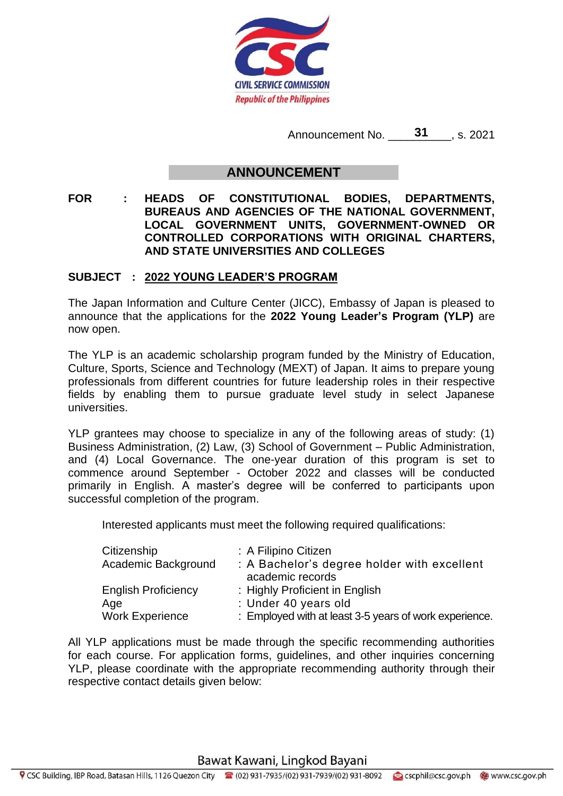

Announcement No. **31**, s. 2021

## **ANNOUNCEMENT**

**FOR : HEADS OF CONSTITUTIONAL BODIES, DEPARTMENTS, BUREAUS AND AGENCIES OF THE NATIONAL GOVERNMENT, LOCAL GOVERNMENT UNITS, GOVERNMENT-OWNED OR CONTROLLED CORPORATIONS WITH ORIGINAL CHARTERS, AND STATE UNIVERSITIES AND COLLEGES**

## **SUBJECT : 2022 YOUNG LEADER'S PROGRAM**

The Japan Information and Culture Center (JICC), Embassy of Japan is pleased to announce that the applications for the **2022 Young Leader's Program (YLP)** are now open.

The YLP is an academic scholarship program funded by the Ministry of Education, Culture, Sports, Science and Technology (MEXT) of Japan. It aims to prepare young professionals from different countries for future leadership roles in their respective fields by enabling them to pursue graduate level study in select Japanese universities.

YLP grantees may choose to specialize in any of the following areas of study: (1) Business Administration, (2) Law, (3) School of Government – Public Administration, and (4) Local Governance. The one-year duration of this program is set to commence around September - October 2022 and classes will be conducted primarily in English. A master's degree will be conferred to participants upon successful completion of the program.

Interested applicants must meet the following required qualifications:

| Citizenship<br>Academic Background | : A Filipino Citizen<br>: A Bachelor's degree holder with excellent<br>academic records |
|------------------------------------|-----------------------------------------------------------------------------------------|
| <b>English Proficiency</b>         | : Highly Proficient in English                                                          |
| Age                                | : Under 40 years old                                                                    |
| <b>Work Experience</b>             | : Employed with at least 3-5 years of work experience.                                  |

All YLP applications must be made through the specific recommending authorities for each course. For application forms, guidelines, and other inquiries concerning YLP, please coordinate with the appropriate recommending authority through their respective contact details given below:

Bawat Kawani, Lingkod Bayani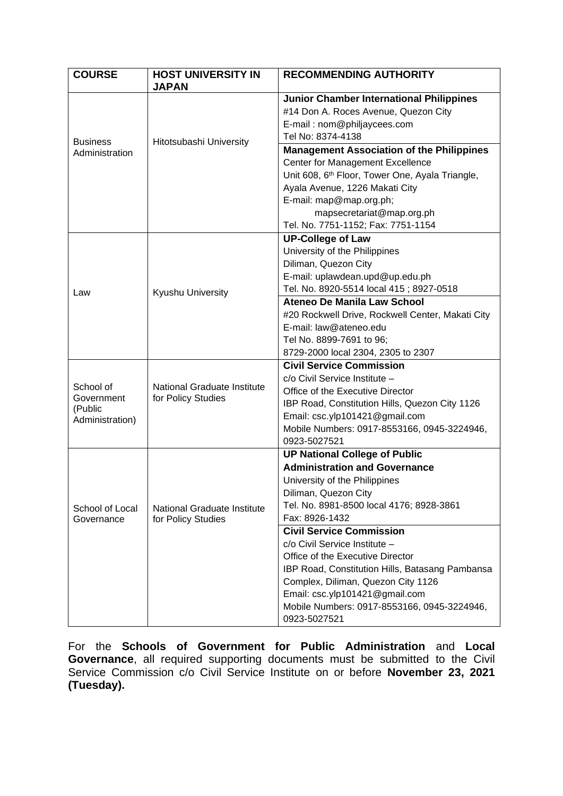| <b>COURSE</b>                     | <b>HOST UNIVERSITY IN</b><br><b>JAPAN</b>         | <b>RECOMMENDING AUTHORITY</b>                               |
|-----------------------------------|---------------------------------------------------|-------------------------------------------------------------|
|                                   |                                                   | <b>Junior Chamber International Philippines</b>             |
|                                   |                                                   | #14 Don A. Roces Avenue, Quezon City                        |
|                                   | Hitotsubashi University                           | E-mail: nom@philjaycees.com                                 |
| <b>Business</b><br>Administration |                                                   | Tel No: 8374-4138                                           |
|                                   |                                                   | <b>Management Association of the Philippines</b>            |
|                                   |                                                   | <b>Center for Management Excellence</b>                     |
|                                   |                                                   | Unit 608, 6 <sup>th</sup> Floor, Tower One, Ayala Triangle, |
|                                   |                                                   | Ayala Avenue, 1226 Makati City                              |
|                                   |                                                   | E-mail: map@map.org.ph;                                     |
|                                   |                                                   | mapsecretariat@map.org.ph                                   |
|                                   |                                                   | Tel. No. 7751-1152; Fax: 7751-1154                          |
|                                   |                                                   | <b>UP-College of Law</b>                                    |
|                                   |                                                   | University of the Philippines                               |
|                                   |                                                   | Diliman, Quezon City                                        |
|                                   |                                                   | E-mail: uplawdean.upd@up.edu.ph                             |
| Law                               | Kyushu University                                 | Tel. No. 8920-5514 local 415; 8927-0518                     |
|                                   |                                                   | Ateneo De Manila Law School                                 |
|                                   |                                                   | #20 Rockwell Drive, Rockwell Center, Makati City            |
|                                   |                                                   | E-mail: law@ateneo.edu                                      |
|                                   |                                                   | Tel No. 8899-7691 to 96;                                    |
|                                   |                                                   | 8729-2000 local 2304, 2305 to 2307                          |
|                                   |                                                   | <b>Civil Service Commission</b>                             |
|                                   |                                                   | c/o Civil Service Institute -                               |
| School of<br>Government           | National Graduate Institute<br>for Policy Studies | Office of the Executive Director                            |
| (Public                           |                                                   | IBP Road, Constitution Hills, Quezon City 1126              |
| Administration)                   |                                                   | Email: csc.ylp101421@gmail.com                              |
|                                   |                                                   | Mobile Numbers: 0917-8553166, 0945-3224946,                 |
|                                   |                                                   | 0923-5027521                                                |
|                                   |                                                   | <b>UP National College of Public</b>                        |
| School of Local<br>Governance     | National Graduate Institute<br>for Policy Studies | <b>Administration and Governance</b>                        |
|                                   |                                                   | University of the Philippines                               |
|                                   |                                                   | Diliman, Quezon City                                        |
|                                   |                                                   | Tel. No. 8981-8500 local 4176; 8928-3861                    |
|                                   |                                                   | Fax: 8926-1432                                              |
|                                   |                                                   | <b>Civil Service Commission</b>                             |
|                                   |                                                   | c/o Civil Service Institute -                               |
|                                   |                                                   | Office of the Executive Director                            |
|                                   |                                                   | IBP Road, Constitution Hills, Batasang Pambansa             |
|                                   |                                                   | Complex, Diliman, Quezon City 1126                          |
|                                   |                                                   | Email: csc.ylp101421@gmail.com                              |
|                                   |                                                   | Mobile Numbers: 0917-8553166, 0945-3224946,<br>0923-5027521 |

For the **Schools of Government for Public Administration** and **Local**  Governance, all required supporting documents must be submitted to the Civil Service Commission c/o Civil Service Institute on or before **November 23, 2021 (Tuesday).**